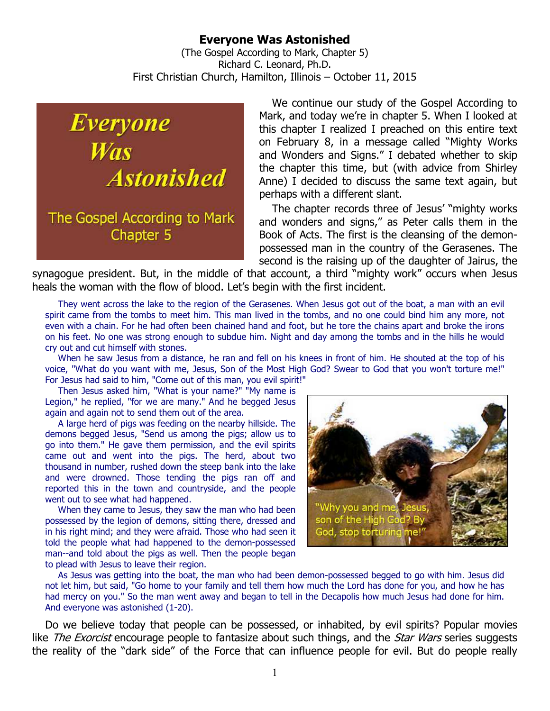## **Everyone Was Astonished**

(The Gospel According to Mark, Chapter 5) Richard C. Leonard, Ph.D. First Christian Church, Hamilton, Illinois – October 11, 2015



We continue our study of the Gospel According to Mark, and today we're in chapter 5. When I looked at this chapter I realized I preached on this entire text on February 8, in a message called "Mighty Works and Wonders and Signs." I debated whether to skip the chapter this time, but (with advice from Shirley Anne) I decided to discuss the same text again, but perhaps with a different slant.

The chapter records three of Jesus' "mighty works and wonders and signs," as Peter calls them in the Book of Acts. The first is the cleansing of the demonpossessed man in the country of the Gerasenes. The second is the raising up of the daughter of Jairus, the

synagogue president. But, in the middle of that account, a third "mighty work" occurs when Jesus heals the woman with the flow of blood. Let's begin with the first incident.

They went across the lake to the region of the Gerasenes. When Jesus got out of the boat, a man with an evil spirit came from the tombs to meet him. This man lived in the tombs, and no one could bind him any more, not even with a chain. For he had often been chained hand and foot, but he tore the chains apart and broke the irons on his feet. No one was strong enough to subdue him. Night and day among the tombs and in the hills he would cry out and cut himself with stones.

When he saw Jesus from a distance, he ran and fell on his knees in front of him. He shouted at the top of his voice, "What do you want with me, Jesus, Son of the Most High God? Swear to God that you won't torture me!" For Jesus had said to him, "Come out of this man, you evil spirit!"

Then Jesus asked him, "What is your name?" "My name is Legion," he replied, "for we are many." And he begged Jesus again and again not to send them out of the area.

A large herd of pigs was feeding on the nearby hillside. The demons begged Jesus, "Send us among the pigs; allow us to go into them." He gave them permission, and the evil spirits came out and went into the pigs. The herd, about two thousand in number, rushed down the steep bank into the lake and were drowned. Those tending the pigs ran off and reported this in the town and countryside, and the people went out to see what had happened.

When they came to Jesus, they saw the man who had been possessed by the legion of demons, sitting there, dressed and in his right mind; and they were afraid. Those who had seen it told the people what had happened to the demon-possessed man--and told about the pigs as well. Then the people began to plead with Jesus to leave their region.



As Jesus was getting into the boat, the man who had been demon-possessed begged to go with him. Jesus did not let him, but said, "Go home to your family and tell them how much the Lord has done for you, and how he has had mercy on you." So the man went away and began to tell in the Decapolis how much Jesus had done for him. And everyone was astonished (1-20).

Do we believe today that people can be possessed, or inhabited, by evil spirits? Popular movies like *The Exorcist* encourage people to fantasize about such things, and the *Star Wars* series suggests the reality of the "dark side" of the Force that can influence people for evil. But do people really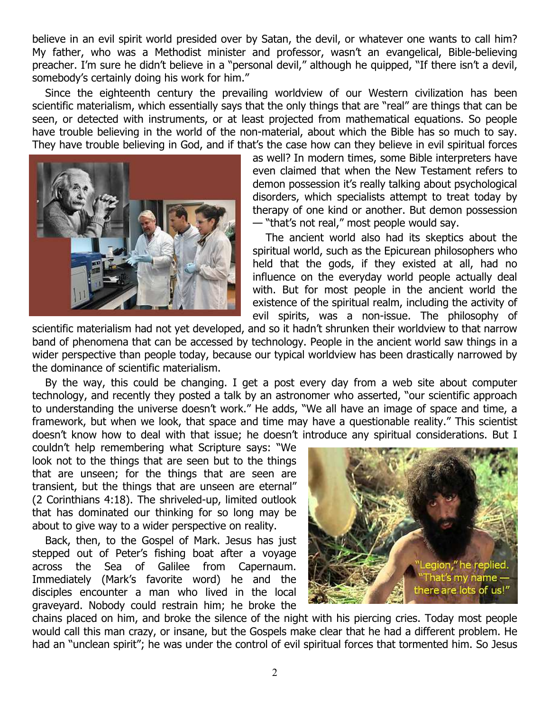believe in an evil spirit world presided over by Satan, the devil, or whatever one wants to call him? My father, who was a Methodist minister and professor, wasn't an evangelical, Bible-believing preacher. I'm sure he didn't believe in a "personal devil," although he quipped, "If there isn't a devil, somebody's certainly doing his work for him."

Since the eighteenth century the prevailing worldview of our Western civilization has been scientific materialism, which essentially says that the only things that are "real" are things that can be seen, or detected with instruments, or at least projected from mathematical equations. So people have trouble believing in the world of the non-material, about which the Bible has so much to say. They have trouble believing in God, and if that's the case how can they believe in evil spiritual forces



as well? In modern times, some Bible interpreters have even claimed that when the New Testament refers to demon possession it's really talking about psychological disorders, which specialists attempt to treat today by therapy of one kind or another. But demon possession — "that's not real," most people would say.

The ancient world also had its skeptics about the spiritual world, such as the Epicurean philosophers who held that the gods, if they existed at all, had no influence on the everyday world people actually deal with. But for most people in the ancient world the existence of the spiritual realm, including the activity of evil spirits, was a non-issue. The philosophy of

scientific materialism had not yet developed, and so it hadn't shrunken their worldview to that narrow band of phenomena that can be accessed by technology. People in the ancient world saw things in a wider perspective than people today, because our typical worldview has been drastically narrowed by the dominance of scientific materialism.

By the way, this could be changing. I get a post every day from a web site about computer technology, and recently they posted a talk by an astronomer who asserted, "our scientific approach to understanding the universe doesn't work." He adds, "We all have an image of space and time, a framework, but when we look, that space and time may have a questionable reality." This scientist doesn't know how to deal with that issue; he doesn't introduce any spiritual considerations. But I

couldn't help remembering what Scripture says: "We look not to the things that are seen but to the things that are unseen; for the things that are seen are transient, but the things that are unseen are eternal" (2 Corinthians 4:18). The shriveled-up, limited outlook that has dominated our thinking for so long may be about to give way to a wider perspective on reality.

Back, then, to the Gospel of Mark. Jesus has just stepped out of Peter's fishing boat after a voyage across the Sea of Galilee from Capernaum. Immediately (Mark's favorite word) he and the disciples encounter a man who lived in the local graveyard. Nobody could restrain him; he broke the



chains placed on him, and broke the silence of the night with his piercing cries. Today most people would call this man crazy, or insane, but the Gospels make clear that he had a different problem. He had an "unclean spirit"; he was under the control of evil spiritual forces that tormented him. So Jesus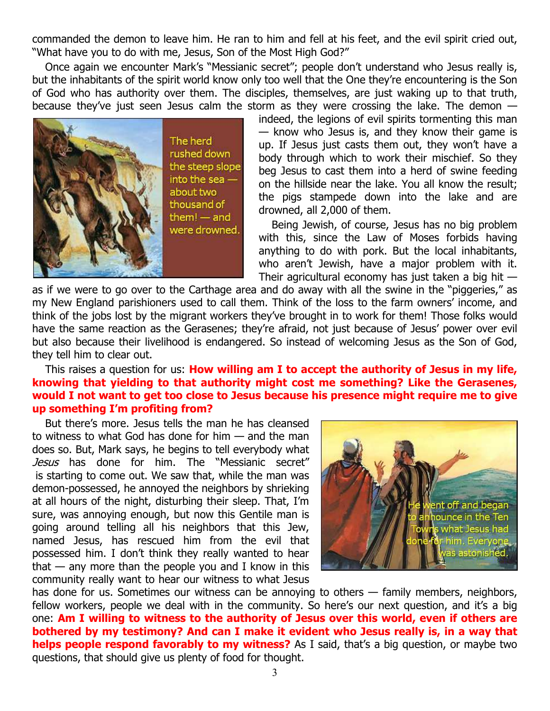commanded the demon to leave him. He ran to him and fell at his feet, and the evil spirit cried out, "What have you to do with me, Jesus, Son of the Most High God?"

Once again we encounter Mark's "Messianic secret"; people don't understand who Jesus really is, but the inhabitants of the spirit world know only too well that the One they're encountering is the Son of God who has authority over them. The disciples, themselves, are just waking up to that truth, because they've just seen Jesus calm the storm as they were crossing the lake. The demon  $-$ 



indeed, the legions of evil spirits tormenting this man — know who Jesus is, and they know their game is

up. If Jesus just casts them out, they won't have a body through which to work their mischief. So they beg Jesus to cast them into a herd of swine feeding on the hillside near the lake. You all know the result; the pigs stampede down into the lake and are drowned, all 2,000 of them.

Being Jewish, of course, Jesus has no big problem with this, since the Law of Moses forbids having anything to do with pork. But the local inhabitants, who aren't Jewish, have a major problem with it. Their agricultural economy has just taken a big hit  $-$ 

as if we were to go over to the Carthage area and do away with all the swine in the "piggeries," as my New England parishioners used to call them. Think of the loss to the farm owners' income, and think of the jobs lost by the migrant workers they've brought in to work for them! Those folks would have the same reaction as the Gerasenes; they're afraid, not just because of Jesus' power over evil but also because their livelihood is endangered. So instead of welcoming Jesus as the Son of God, they tell him to clear out.

This raises a question for us: **How willing am I to accept the authority of Jesus in my life, knowing that yielding to that authority might cost me something? Like the Gerasenes, would I not want to get too close to Jesus because his presence might require me to give up something I'm profiting from?**

But there's more. Jesus tells the man he has cleansed to witness to what God has done for him  $-$  and the man does so. But, Mark says, he begins to tell everybody what Jesus has done for him. The "Messianic secret" is starting to come out. We saw that, while the man was demon-possessed, he annoyed the neighbors by shrieking at all hours of the night, disturbing their sleep. That, I'm sure, was annoying enough, but now this Gentile man is going around telling all his neighbors that this Jew, named Jesus, has rescued him from the evil that possessed him. I don't think they really wanted to hear that  $-$  any more than the people you and I know in this community really want to hear our witness to what Jesus



has done for us. Sometimes our witness can be annoying to others — family members, neighbors, fellow workers, people we deal with in the community. So here's our next question, and it's a big one: **Am I willing to witness to the authority of Jesus over this world, even if others are bothered by my testimony? And can I make it evident who Jesus really is, in a way that helps people respond favorably to my witness?** As I said, that's a big question, or maybe two questions, that should give us plenty of food for thought.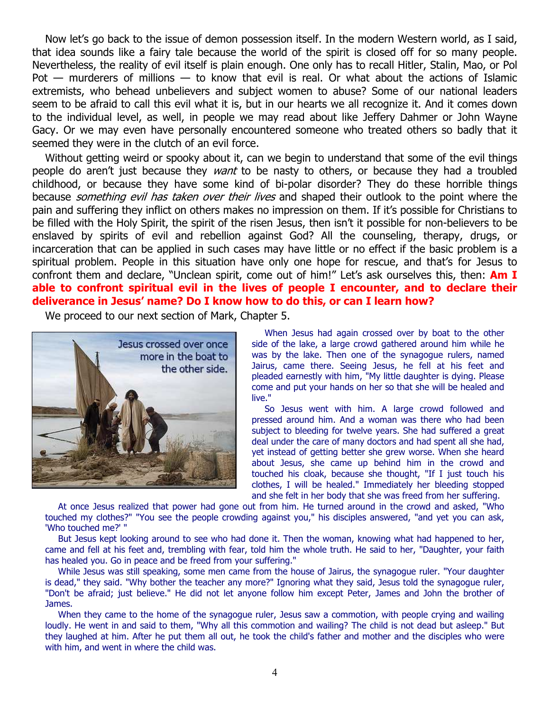Now let's go back to the issue of demon possession itself. In the modern Western world, as I said, that idea sounds like a fairy tale because the world of the spirit is closed off for so many people. Nevertheless, the reality of evil itself is plain enough. One only has to recall Hitler, Stalin, Mao, or Pol Pot — murderers of millions — to know that evil is real. Or what about the actions of Islamic extremists, who behead unbelievers and subject women to abuse? Some of our national leaders seem to be afraid to call this evil what it is, but in our hearts we all recognize it. And it comes down to the individual level, as well, in people we may read about like Jeffery Dahmer or John Wayne Gacy. Or we may even have personally encountered someone who treated others so badly that it seemed they were in the clutch of an evil force.

Without getting weird or spooky about it, can we begin to understand that some of the evil things people do aren't just because they *want* to be nasty to others, or because they had a troubled childhood, or because they have some kind of bi-polar disorder? They do these horrible things because *something evil has taken over their lives* and shaped their outlook to the point where the pain and suffering they inflict on others makes no impression on them. If it's possible for Christians to be filled with the Holy Spirit, the spirit of the risen Jesus, then isn't it possible for non-believers to be enslaved by spirits of evil and rebellion against God? All the counseling, therapy, drugs, or incarceration that can be applied in such cases may have little or no effect if the basic problem is a spiritual problem. People in this situation have only one hope for rescue, and that's for Jesus to confront them and declare, "Unclean spirit, come out of him!" Let's ask ourselves this, then: **Am I able to confront spiritual evil in the lives of people I encounter, and to declare their deliverance in Jesus' name? Do I know how to do this, or can I learn how?**

We proceed to our next section of Mark, Chapter 5.



When Jesus had again crossed over by boat to the other side of the lake, a large crowd gathered around him while he was by the lake. Then one of the synagogue rulers, named Jairus, came there. Seeing Jesus, he fell at his feet and pleaded earnestly with him, "My little daughter is dying. Please come and put your hands on her so that she will be healed and live."

So Jesus went with him. A large crowd followed and pressed around him. And a woman was there who had been subject to bleeding for twelve years. She had suffered a great deal under the care of many doctors and had spent all she had, yet instead of getting better she grew worse. When she heard about Jesus, she came up behind him in the crowd and touched his cloak, because she thought, "If I just touch his clothes, I will be healed." Immediately her bleeding stopped and she felt in her body that she was freed from her suffering.

At once Jesus realized that power had gone out from him. He turned around in the crowd and asked, "Who touched my clothes?" "You see the people crowding against you," his disciples answered, "and yet you can ask, 'Who touched me?' "

But Jesus kept looking around to see who had done it. Then the woman, knowing what had happened to her, came and fell at his feet and, trembling with fear, told him the whole truth. He said to her, "Daughter, your faith has healed you. Go in peace and be freed from your suffering."

While Jesus was still speaking, some men came from the house of Jairus, the synagogue ruler. "Your daughter is dead," they said. "Why bother the teacher any more?" Ignoring what they said, Jesus told the synagogue ruler, "Don't be afraid; just believe." He did not let anyone follow him except Peter, James and John the brother of James.

When they came to the home of the synagogue ruler, Jesus saw a commotion, with people crying and wailing loudly. He went in and said to them, "Why all this commotion and wailing? The child is not dead but asleep." But they laughed at him. After he put them all out, he took the child's father and mother and the disciples who were with him, and went in where the child was.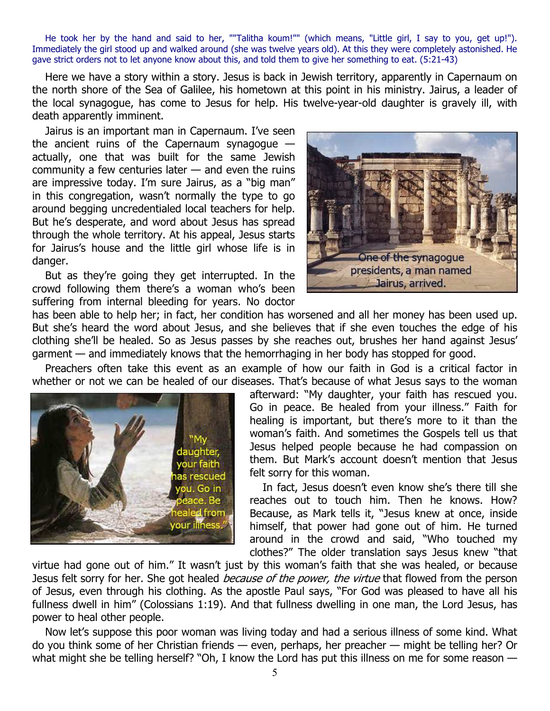He took her by the hand and said to her, ""Talitha koum!"" (which means, "Little girl, I say to you, get up!"). Immediately the girl stood up and walked around (she was twelve years old). At this they were completely astonished. He gave strict orders not to let anyone know about this, and told them to give her something to eat. (5:21-43)

Here we have a story within a story. Jesus is back in Jewish territory, apparently in Capernaum on the north shore of the Sea of Galilee, his hometown at this point in his ministry. Jairus, a leader of the local synagogue, has come to Jesus for help. His twelve-year-old daughter is gravely ill, with death apparently imminent.

Jairus is an important man in Capernaum. I've seen the ancient ruins of the Capernaum synagogue  $$ actually, one that was built for the same Jewish community a few centuries later  $-$  and even the ruins are impressive today. I'm sure Jairus, as a "big man" in this congregation, wasn't normally the type to go around begging uncredentialed local teachers for help. But he's desperate, and word about Jesus has spread through the whole territory. At his appeal, Jesus starts for Jairus's house and the little girl whose life is in danger.

But as they're going they get interrupted. In the crowd following them there's a woman who's been suffering from internal bleeding for years. No doctor



has been able to help her; in fact, her condition has worsened and all her money has been used up. But she's heard the word about Jesus, and she believes that if she even touches the edge of his clothing she'll be healed. So as Jesus passes by she reaches out, brushes her hand against Jesus' garment — and immediately knows that the hemorrhaging in her body has stopped for good.

Preachers often take this event as an example of how our faith in God is a critical factor in whether or not we can be healed of our diseases. That's because of what Jesus says to the woman



afterward: "My daughter, your faith has rescued you. Go in peace. Be healed from your illness." Faith for healing is important, but there's more to it than the woman's faith. And sometimes the Gospels tell us that Jesus helped people because he had compassion on them. But Mark's account doesn't mention that Jesus felt sorry for this woman.

In fact, Jesus doesn't even know she's there till she reaches out to touch him. Then he knows. How? Because, as Mark tells it, "Jesus knew at once, inside himself, that power had gone out of him. He turned around in the crowd and said, "Who touched my clothes?" The older translation says Jesus knew "that

virtue had gone out of him." It wasn't just by this woman's faith that she was healed, or because Jesus felt sorry for her. She got healed *because of the power, the virtue* that flowed from the person of Jesus, even through his clothing. As the apostle Paul says, "For God was pleased to have all his fullness dwell in him" (Colossians 1:19). And that fullness dwelling in one man, the Lord Jesus, has power to heal other people.

Now let's suppose this poor woman was living today and had a serious illness of some kind. What do you think some of her Christian friends — even, perhaps, her preacher — might be telling her? Or what might she be telling herself? "Oh, I know the Lord has put this illness on me for some reason —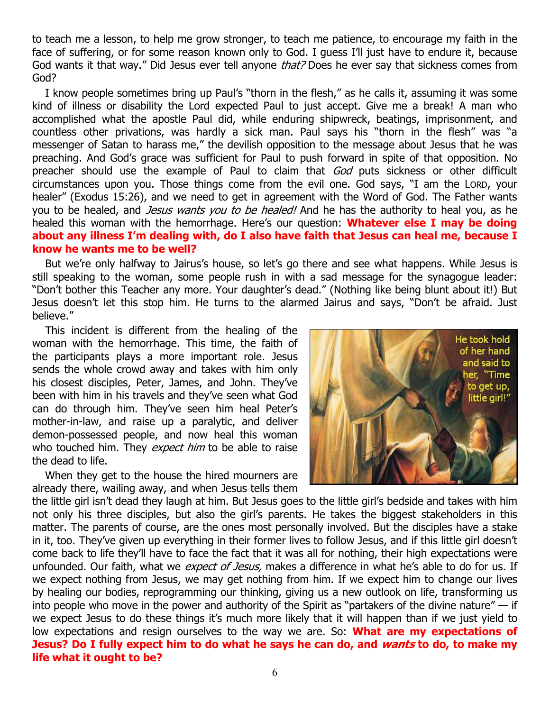to teach me a lesson, to help me grow stronger, to teach me patience, to encourage my faith in the face of suffering, or for some reason known only to God. I guess I'll just have to endure it, because God wants it that way." Did Jesus ever tell anyone *that?* Does he ever say that sickness comes from God?

I know people sometimes bring up Paul's "thorn in the flesh," as he calls it, assuming it was some kind of illness or disability the Lord expected Paul to just accept. Give me a break! A man who accomplished what the apostle Paul did, while enduring shipwreck, beatings, imprisonment, and countless other privations, was hardly a sick man. Paul says his "thorn in the flesh" was "a messenger of Satan to harass me," the devilish opposition to the message about Jesus that he was preaching. And God's grace was sufficient for Paul to push forward in spite of that opposition. No preacher should use the example of Paul to claim that God puts sickness or other difficult circumstances upon you. Those things come from the evil one. God says, "I am the LORD, your healer" (Exodus 15:26), and we need to get in agreement with the Word of God. The Father wants you to be healed, and *Jesus wants you to be healed!* And he has the authority to heal you, as he healed this woman with the hemorrhage. Here's our question: **Whatever else I may be doing about any illness I'm dealing with, do I also have faith that Jesus can heal me, because I know he wants me to be well?** 

But we're only halfway to Jairus's house, so let's go there and see what happens. While Jesus is still speaking to the woman, some people rush in with a sad message for the synagogue leader: "Don't bother this Teacher any more. Your daughter's dead." (Nothing like being blunt about it!) But Jesus doesn't let this stop him. He turns to the alarmed Jairus and says, "Don't be afraid. Just believe."

This incident is different from the healing of the woman with the hemorrhage. This time, the faith of the participants plays a more important role. Jesus sends the whole crowd away and takes with him only his closest disciples, Peter, James, and John. They've been with him in his travels and they've seen what God can do through him. They've seen him heal Peter's mother-in-law, and raise up a paralytic, and deliver demon-possessed people, and now heal this woman who touched him. They expect him to be able to raise the dead to life.

When they get to the house the hired mourners are already there, wailing away, and when Jesus tells them



the little girl isn't dead they laugh at him. But Jesus goes to the little girl's bedside and takes with him not only his three disciples, but also the girl's parents. He takes the biggest stakeholders in this matter. The parents of course, are the ones most personally involved. But the disciples have a stake in it, too. They've given up everything in their former lives to follow Jesus, and if this little girl doesn't come back to life they'll have to face the fact that it was all for nothing, their high expectations were unfounded. Our faith, what we expect of Jesus, makes a difference in what he's able to do for us. If we expect nothing from Jesus, we may get nothing from him. If we expect him to change our lives by healing our bodies, reprogramming our thinking, giving us a new outlook on life, transforming us into people who move in the power and authority of the Spirit as "partakers of the divine nature"  $-$  if we expect Jesus to do these things it's much more likely that it will happen than if we just yield to low expectations and resign ourselves to the way we are. So: **What are my expectations of Jesus? Do I fully expect him to do what he says he can do, and wants to do, to make my life what it ought to be?**